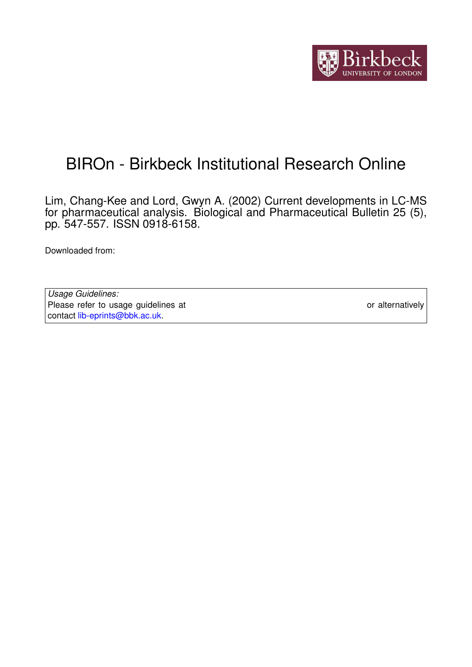

# BIROn - Birkbeck Institutional Research Online

Lim, Chang-Kee and Lord, Gwyn A. (2002) Current developments in LC-MS for pharmaceutical analysis. Biological and Pharmaceutical Bulletin 25 (5), pp. 547-557. ISSN 0918-6158.

Downloaded from: <https://eprints.bbk.ac.uk/id/eprint/251/>

*Usage Guidelines:* Please refer to usage guidelines at <https://eprints.bbk.ac.uk/policies.html> or alternatively contact [lib-eprints@bbk.ac.uk.](mailto:lib-eprints@bbk.ac.uk)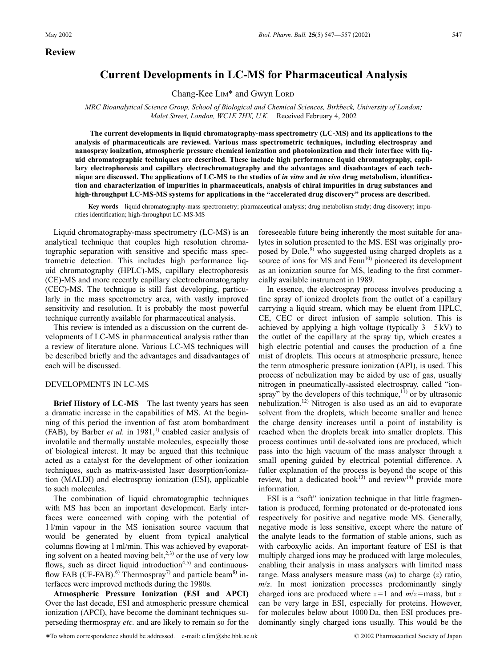# **Current Developments in LC-MS for Pharmaceutical Analysis**

Chang-Kee LIM\* and Gwyn LORD

*MRC Bioanalytical Science Group, School of Biological and Chemical Sciences, Birkbeck, University of London; Malet Street, London, WC1E 7HX, U.K.* Received February 4, 2002

**The current developments in liquid chromatography-mass spectrometry (LC-MS) and its applications to the analysis of pharmaceuticals are reviewed. Various mass spectrometric techniques, including electrospray and nanospray ionization, atmospheric pressure chemical ionization and photoionization and their interface with liquid chromatographic techniques are described. These include high performance liquid chromatography, capillary electrophoresis and capillary electrochromatography and the advantages and disadvantages of each technique are discussed. The applications of LC-MS to the studies of** *in vitro* **and** *in vivo* **drug metabolism, identification and characterization of impurities in pharmaceuticals, analysis of chiral impurities in drug substances and high-throughput LC-MS-MS systems for applications in the "accelerated drug discovery" process are described.**

**Key words** liquid chromatography-mass spectrometry; pharmaceutical analysis; drug metabolism study; drug discovery; impurities identification; high-throughput LC-MS-MS

Liquid chromatography-mass spectrometry (LC-MS) is an analytical technique that couples high resolution chromatographic separation with sensitive and specific mass spectrometric detection. This includes high performance liquid chromatography (HPLC)-MS, capillary electrophoresis (CE)-MS and more recently capillary electrochromatography (CEC)-MS. The technique is still fast developing, particularly in the mass spectrometry area, with vastly improved sensitivity and resolution. It is probably the most powerful technique currently available for pharmaceutical analysis.

This review is intended as a discussion on the current developments of LC-MS in pharmaceutical analysis rather than a review of literature alone. Various LC-MS techniques will be described briefly and the advantages and disadvantages of each will be discussed.

### DEVELOPMENTS IN LC-MS

**Brief History of LC-MS** The last twenty years has seen a dramatic increase in the capabilities of MS. At the beginning of this period the invention of fast atom bombardment (FAB), by Barber *et al.* in 1981,<sup>1)</sup> enabled easier analysis of involatile and thermally unstable molecules, especially those of biological interest. It may be argued that this technique acted as a catalyst for the development of other ionization techniques, such as matrix-assisted laser desorption/ionization (MALDI) and electrospray ionization (ESI), applicable to such molecules.

The combination of liquid chromatographic techniques with MS has been an important development. Early interfaces were concerned with coping with the potential of 1 l/min vapour in the MS ionisation source vacuum that would be generated by eluent from typical analytical columns flowing at 1 ml/min. This was achieved by evaporating solvent on a heated moving belt,<sup>2,3)</sup> or the use of very low flows, such as direct liquid introduction<sup> $4,5$ </sup> and continuousflow FAB (CF-FAB).<sup>6)</sup> Thermospray<sup>7)</sup> and particle beam<sup>8)</sup> interfaces were improved methods during the 1980s.

**Atmospheric Pressure Ionization (ESI and APCI)** Over the last decade, ESI and atmospheric pressure chemical ionization (APCI), have become the dominant techniques superseding thermospray *etc.* and are likely to remain so for the foreseeable future being inherently the most suitable for analytes in solution presented to the MS. ESI was originally proposed by  $Dole<sub>2</sub><sup>9</sup>$  who suggested using charged droplets as a source of ions for  $MS$  and  $Fenn<sup>10</sup>$  pioneered its development as an ionization source for MS, leading to the first commercially available instrument in 1989.

In essence, the electrospray process involves producing a fine spray of ionized droplets from the outlet of a capillary carrying a liquid stream, which may be eluent from HPLC, CE, CEC or direct infusion of sample solution. This is achieved by applying a high voltage (typically 3—5 kV) to the outlet of the capillary at the spray tip, which creates a high electric potential and causes the production of a fine mist of droplets. This occurs at atmospheric pressure, hence the term atmospheric pressure ionization (API), is used. This process of nebulization may be aided by use of gas, usually nitrogen in pneumatically-assisted electrospray, called "ionspray" by the developers of this technique, $^{11)}$  or by ultrasonic nebulization.12) Nitrogen is also used as an aid to evaporate solvent from the droplets, which become smaller and hence the charge density increases until a point of instability is reached when the droplets break into smaller droplets. This process continues until de-solvated ions are produced, which pass into the high vacuum of the mass analyser through a small opening guided by electrical potential difference. A fuller explanation of the process is beyond the scope of this review, but a dedicated book<sup>13)</sup> and review<sup>14)</sup> provide more information.

ESI is a "soft" ionization technique in that little fragmentation is produced, forming protonated or de-protonated ions respectively for positive and negative mode MS. Generally, negative mode is less sensitive, except where the nature of the analyte leads to the formation of stable anions, such as with carboxylic acids. An important feature of ESI is that multiply charged ions may be produced with large molecules, enabling their analysis in mass analysers with limited mass range. Mass analysers measure mass (*m*) to charge (*z*) ratio, *m*/*z*. In most ionization processes predominantly singly charged ions are produced where  $z=1$  and  $m/z =$ mass, but *z* can be very large in ESI, especially for proteins. However, for molecules below about 1000 Da, then ESI produces predominantly singly charged ions usually. This would be the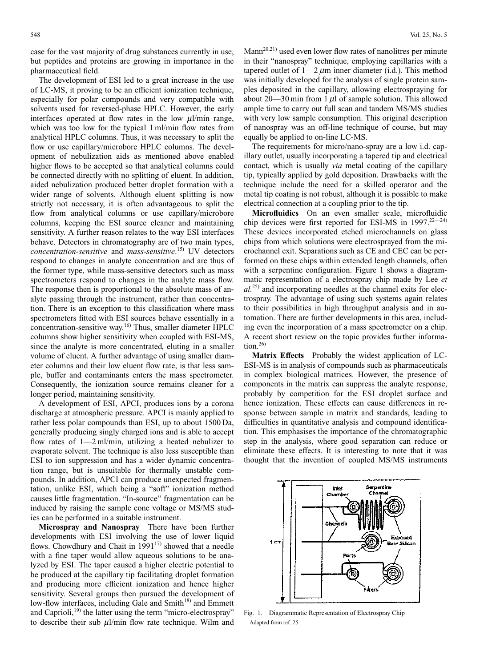case for the vast majority of drug substances currently in use, but peptides and proteins are growing in importance in the pharmaceutical field.

The development of ESI led to a great increase in the use of LC-MS, it proving to be an efficient ionization technique, especially for polar compounds and very compatible with solvents used for reversed-phase HPLC. However, the early interfaces operated at flow rates in the low  $\mu$ l/min range, which was too low for the typical 1 ml/min flow rates from analytical HPLC columns. Thus, it was necessary to split the flow or use capillary/microbore HPLC columns. The development of nebulization aids as mentioned above enabled higher flows to be accepted so that analytical columns could be connected directly with no splitting of eluent. In addition, aided nebulization produced better droplet formation with a wider range of solvents. Although eluent splitting is now strictly not necessary, it is often advantageous to split the flow from analytical columns or use capillary/microbore columns, keeping the ESI source cleaner and maintaining sensitivity. A further reason relates to the way ESI interfaces behave. Detectors in chromatography are of two main types, *concentration-sensitive* and *mass-sensitive*. 15) UV detectors respond to changes in analyte concentration and are thus of the former type, while mass-sensitive detectors such as mass spectrometers respond to changes in the analyte mass flow. The response then is proportional to the absolute mass of analyte passing through the instrument, rather than concentration. There is an exception to this classification where mass spectrometers fitted with ESI sources behave essentially in a concentration-sensitive way.16) Thus, smaller diameter HPLC columns show higher sensitivity when coupled with ESI-MS, since the analyte is more concentrated, eluting in a smaller volume of eluent. A further advantage of using smaller diameter columns and their low eluent flow rate, is that less sample, buffer and contaminants enters the mass spectrometer. Consequently, the ionization source remains cleaner for a longer period, maintaining sensitivity.

A development of ESI, APCI, produces ions by a corona discharge at atmospheric pressure. APCI is mainly applied to rather less polar compounds than ESI, up to about 1500 Da, generally producing singly charged ions and is able to accept flow rates of 1—2 ml/min, utilizing a heated nebulizer to evaporate solvent. The technique is also less susceptible than ESI to ion suppression and has a wider dynamic concentration range, but is unsuitable for thermally unstable compounds. In addition, APCI can produce unexpected fragmentation, unlike ESI, which being a "soft" ionization method causes little fragmentation. "In-source" fragmentation can be induced by raising the sample cone voltage or MS/MS studies can be performed in a suitable instrument.

**Microspray and Nanospray** There have been further developments with ESI involving the use of lower liquid flows. Chowdhury and Chait in  $1991^{17}$  showed that a needle with a fine taper would allow aqueous solutions to be analyzed by ESI. The taper caused a higher electric potential to be produced at the capillary tip facilitating droplet formation and producing more efficient ionization and hence higher sensitivity. Several groups then pursued the development of low-flow interfaces, including Gale and  $Smith^{18}$  and Emmett and Caprioli,<sup>19)</sup> the latter using the term "micro-electrospray" to describe their sub  $\mu$ l/min flow rate technique. Wilm and

 $Mann<sup>20,21</sup>$  used even lower flow rates of nanolitres per minute in their "nanospray" technique, employing capillaries with a tapered outlet of  $1-2 \mu m$  inner diameter (i.d.). This method was initially developed for the analysis of single protein samples deposited in the capillary, allowing electrospraying for about 20—30 min from 1  $\mu$ l of sample solution. This allowed ample time to carry out full scan and tandem MS/MS studies with very low sample consumption. This original description of nanospray was an off-line technique of course, but may equally be applied to on-line LC-MS.

The requirements for micro/nano-spray are a low i.d. capillary outlet, usually incorporating a tapered tip and electrical contact, which is usually *via* metal coating of the capillary tip, typically applied by gold deposition. Drawbacks with the technique include the need for a skilled operator and the metal tip coating is not robust, although it is possible to make electrical connection at a coupling prior to the tip.

**Microfluidics** On an even smaller scale, microfluidic chip devices were first reported for ESI-MS in  $1997.22-24$ ) These devices incorporated etched microchannels on glass chips from which solutions were electrosprayed from the microchannel exit. Separations such as CE and CEC can be performed on these chips within extended length channels, often with a serpentine configuration. Figure 1 shows a diagrammatic representation of a electrospray chip made by Lee *et al.*25) and incorporating needles at the channel exits for electrospray. The advantage of using such systems again relates to their possibilities in high throughput analysis and in automation. There are further developments in this area, including even the incorporation of a mass spectrometer on a chip. A recent short review on the topic provides further information.<sup>26)</sup>

**Matrix Effects** Probably the widest application of LC-ESI-MS is in analysis of compounds such as pharmaceuticals in complex biological matrices. However, the presence of components in the matrix can suppress the analyte response, probably by competition for the ESI droplet surface and hence ionization. These effects can cause differences in response between sample in matrix and standards, leading to difficulties in quantitative analysis and compound identification. This emphasises the importance of the chromatographic step in the analysis, where good separation can reduce or eliminate these effects. It is interesting to note that it was thought that the invention of coupled MS/MS instruments



Fig. 1. Diagrammatic Representation of Electrospray Chip Adapted from ref. 25.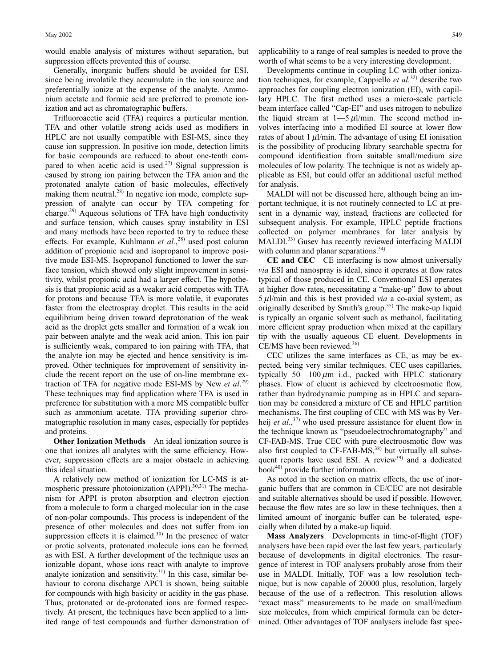would enable analysis of mixtures without separation, but suppression effects prevented this of course.

Generally, inorganic buffers should be avoided for ESI, since being involatile they accumulate in the ion source and preferentially ionize at the expense of the analyte. Ammonium acetate and formic acid are preferred to promote ionization and act as chromatographic buffers.

Trifluoroacetic acid (TFA) requires a particular mention. TFA and other volatile strong acids used as modifiers in HPLC are not usually compatible with ESI-MS, since they cause ion suppression. In positive ion mode, detection limits for basic compounds are reduced to about one-tenth compared to when acetic acid is used.<sup>27)</sup> Signal suppression is caused by strong ion pairing between the TFA anion and the protonated analyte cation of basic molecules, effectively making them neutral.<sup>28)</sup> In negative ion mode, complete suppression of analyte can occur by TFA competing for charge.<sup>29)</sup> Aqueous solutions of TFA have high conductivity and surface tension, which causes spray instability in ESI and many methods have been reported to try to reduce these effects. For example, Kuhlmann *et al.*,<sup>28)</sup> used post column addition of propionic acid and isopropanol to improve positive mode ESI-MS. Isopropanol functioned to lower the surface tension, which showed only slight improvement in sensitivity, whilst propionic acid had a larger effect. The hypothesis is that propionic acid as a weaker acid competes with TFA for protons and because TFA is more volatile, it evaporates faster from the electrospray droplet. This results in the acid equilibrium being driven toward deprotonation of the weak acid as the droplet gets smaller and formation of a weak ion pair between analyte and the weak acid anion. This ion pair is sufficiently weak, compared to ion pairing with TFA, that the analyte ion may be ejected and hence sensitivity is improved. Other techniques for improvement of sensitivity include the recent report on the use of on-line membrane extraction of TFA for negative mode ESI-MS by New *et al*. 29) These techniques may find application where TFA is used in preference for substitution with a more MS compatible buffer such as ammonium acetate. TFA providing superior chromatographic resolution in many cases, especially for peptides and proteins.

**Other Ionization Methods** An ideal ionization source is one that ionizes all analytes with the same efficiency. However, suppression effects are a major obstacle in achieving this ideal situation.

A relatively new method of ionization for LC-MS is atmospheric pressure photoionization (APPI).<sup>30,31)</sup> The mechanism for APPI is proton absorption and electron ejection from a molecule to form a charged molecular ion in the case of non-polar compounds. This process is independent of the presence of other molecules and does not suffer from ion suppression effects it is claimed.<sup>30)</sup> In the presence of water or protic solvents, protonated molecule ions can be formed, as with ESI. A further development of the technique uses an ionizable dopant, whose ions react with analyte to improve analyte ionization and sensitivity.<sup>31)</sup> In this case, similar behaviour to corona discharge APCI is shown, being suitable for compounds with high basicity or acidity in the gas phase. Thus, protonated or de-protonated ions are formed respectively. At present, the techniques have been applied to a limited range of test compounds and further demonstration of applicability to a range of real samples is needed to prove the worth of what seems to be a very interesting development.

Developments continue in coupling LC with other ionization techniques, for example, Cappiello *et al.*32) describe two approaches for coupling electron ionization (EI), with capillary HPLC. The first method uses a micro-scale particle beam interface called "Cap-EI" and uses nitrogen to nebulize the liquid stream at  $1-5 \mu$ l/min. The second method involves interfacing into a modified EI source at lower flow rates of about 1  $\mu$ l/min. The advantage of using EI ionisation is the possibility of producing library searchable spectra for compound identification from suitable small/medium size molecules of low polarity. The technique is not as widely applicable as ESI, but could offer an additional useful method for analysis.

MALDI will not be discussed here, although being an important technique, it is not routinely connected to LC at present in a dynamic way, instead, fractions are collected for subsequent analysis. For example, HPLC peptide fractions collected on polymer membranes for later analysis by MALDI.<sup>33)</sup> Gusev has recently reviewed interfacing MALDI with column and planar separations. $34$ )

**CE and CEC** CE interfacing is now almost universally *via* ESI and nanospray is ideal, since it operates at flow rates typical of those produced in CE. Conventional ESI operates at higher flow rates, necessitating a "make-up" flow to about 5 ml/min and this is best provided *via* a co-axial system, as originally described by Smith's group.<sup>35)</sup> The make-up liquid is typically an organic solvent such as methanol, facilitating more efficient spray production when mixed at the capillary tip with the usually aqueous CE eluent. Developments in CE/MS have been reviewed.36)

CEC utilizes the same interfaces as CE, as may be expected, being very similar techniques. CEC uses capillaries, typically  $50-100 \mu m$  i.d., packed with HPLC stationary phases. Flow of eluent is achieved by electroosmotic flow, rather than hydrodynamic pumping as in HPLC and separation may be considered a mixture of CE and HPLC partition mechanisms. The first coupling of CEC with MS was by Verheij *et al.*,<sup>37)</sup> who used pressure assistance for eluent flow in the technique known as "pseudoelectrochromatography" and CF-FAB-MS. True CEC with pure electroosmotic flow was also first coupled to  $CF\text{-FAB-MS}^{38)}$  but virtually all subsequent reports have used ESI. A review<sup>39)</sup> and a dedicated  $book<sup>40</sup>$  provide further information.

As noted in the section on matrix effects, the use of inorganic buffers that are common in CE/CEC are not desirable and suitable alternatives should be used if possible. However, because the flow rates are so low in these techniques, then a limited amount of inorganic buffer can be tolerated, especially when diluted by a make-up liquid.

**Mass Analyzers** Developments in time-of-flight (TOF) analysers have been rapid over the last few years, particularly because of developments in digital electronics. The resurgence of interest in TOF analysers probably arose from their use in MALDI. Initially, TOF was a low resolution technique, but is now capable of 20000 plus, resolution, largely because of the use of a reflectron. This resolution allows "exact mass" measurements to be made on small/medium size molecules, from which empirical formula can be determined. Other advantages of TOF analysers include fast spec-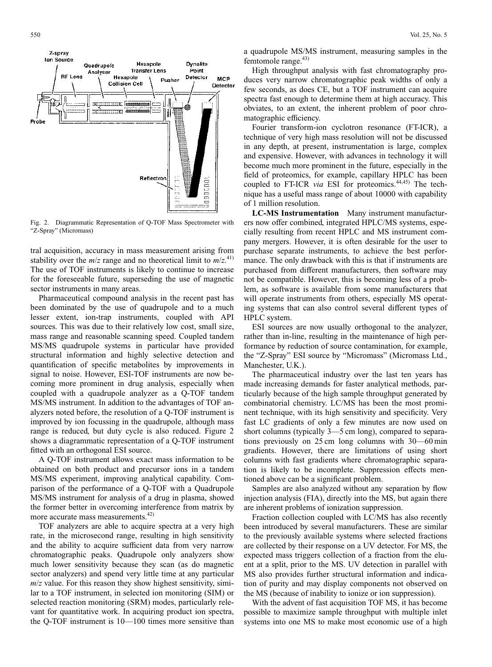

Fig. 2. Diagrammatic Representation of Q-TOF Mass Spectrometer with "Z-Spray" (Micromass)

tral acquisition, accuracy in mass measurement arising from stability over the  $m/z$  range and no theoretical limit to  $m/z$ .<sup>41)</sup> The use of TOF instruments is likely to continue to increase for the foreseeable future, superseding the use of magnetic sector instruments in many areas.

Pharmaceutical compound analysis in the recent past has been dominated by the use of quadrupole and to a much lesser extent, ion-trap instruments, coupled with API sources. This was due to their relatively low cost, small size, mass range and reasonable scanning speed. Coupled tandem MS/MS quadrupole systems in particular have provided structural information and highly selective detection and quantification of specific metabolites by improvements in signal to noise. However, ESI-TOF instruments are now becoming more prominent in drug analysis, especially when coupled with a quadrupole analyzer as a Q-TOF tandem MS/MS instrument. In addition to the advantages of TOF analyzers noted before, the resolution of a Q-TOF instrument is improved by ion focussing in the quadrupole, although mass range is reduced, but duty cycle is also reduced. Figure 2 shows a diagrammatic representation of a Q-TOF instrument fitted with an orthogonal ESI source.

A Q-TOF instrument allows exact mass information to be obtained on both product and precursor ions in a tandem MS/MS experiment, improving analytical capability. Comparison of the performance of a Q-TOF with a Quadrupole MS/MS instrument for analysis of a drug in plasma, showed the former better in overcoming interference from matrix by more accurate mass measurements.<sup>42)</sup>

TOF analyzers are able to acquire spectra at a very high rate, in the microsecond range, resulting in high sensitivity and the ability to acquire sufficient data from very narrow chromatographic peaks. Quadrupole only analyzers show much lower sensitivity because they scan (as do magnetic sector analyzers) and spend very little time at any particular  $m/z$  value. For this reason they show highest sensitivity, similar to a TOF instrument, in selected ion monitoring (SIM) or selected reaction monitoring (SRM) modes, particularly relevant for quantitative work. In acquiring product ion spectra, the Q-TOF instrument is 10—100 times more sensitive than a quadrupole MS/MS instrument, measuring samples in the femtomole range.<sup>43)</sup>

High throughput analysis with fast chromatography produces very narrow chromatographic peak widths of only a few seconds, as does CE, but a TOF instrument can acquire spectra fast enough to determine them at high accuracy. This obviates, to an extent, the inherent problem of poor chromatographic efficiency.

Fourier transform-ion cyclotron resonance (FT-ICR), a technique of very high mass resolution will not be discussed in any depth, at present, instrumentation is large, complex and expensive. However, with advances in technology it will become much more prominent in the future, especially in the field of proteomics, for example, capillary HPLC has been coupled to FT-ICR *via* ESI for proteomics.<sup>44,45)</sup> The technique has a useful mass range of about 10000 with capability of 1 million resolution.

**LC-MS Instrumentation** Many instrument manufacturers now offer combined, integrated HPLC/MS systems, especially resulting from recent HPLC and MS instrument company mergers. However, it is often desirable for the user to purchase separate instruments, to achieve the best performance. The only drawback with this is that if instruments are purchased from different manufacturers, then software may not be compatible. However, this is becoming less of a problem, as software is available from some manufacturers that will operate instruments from others, especially MS operating systems that can also control several different types of HPLC system.

ESI sources are now usually orthogonal to the analyzer, rather than in-line, resulting in the maintenance of high performance by reduction of source contamination, for example, the "Z-Spray" ESI source by "Micromass" (Micromass Ltd., Manchester, U.K.).

The pharmaceutical industry over the last ten years has made increasing demands for faster analytical methods, particularly because of the high sample throughput generated by combinatorial chemistry. LC/MS has been the most prominent technique, with its high sensitivity and specificity. Very fast LC gradients of only a few minutes are now used on short columns (typically 3—5 cm long), compared to separations previously on 25 cm long columns with 30—60 min gradients. However, there are limitations of using short columns with fast gradients where chromatographic separation is likely to be incomplete. Suppression effects mentioned above can be a significant problem.

Samples are also analyzed without any separation by flow injection analysis (FIA), directly into the MS, but again there are inherent problems of ionization suppression.

Fraction collection coupled with LC/MS has also recently been introduced by several manufacturers. These are similar to the previously available systems where selected fractions are collected by their response on a UV detector. For MS, the expected mass triggers collection of a fraction from the eluent at a split, prior to the MS. UV detection in parallel with MS also provides further structural information and indication of purity and may display components not observed on the MS (because of inability to ionize or ion suppression).

With the advent of fast acquisition TOF MS, it has become possible to maximize sample throughput with multiple inlet systems into one MS to make most economic use of a high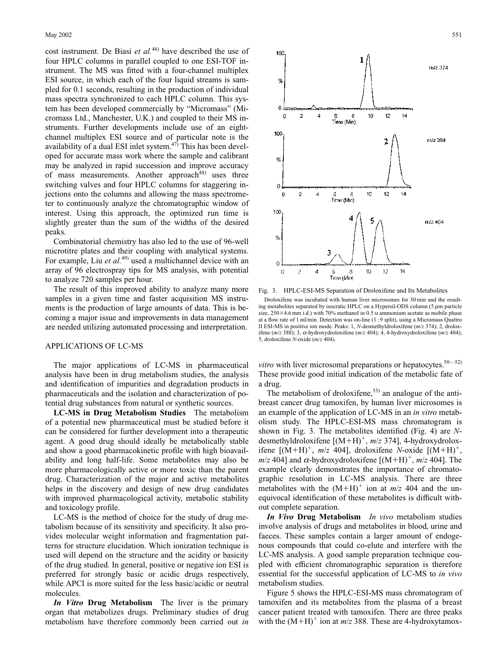cost instrument. De Biasi *et al.*46) have described the use of four HPLC columns in parallel coupled to one ESI-TOF instrument. The MS was fitted with a four-channel multiplex ESI source, in which each of the four liquid streams is sampled for 0.1 seconds, resulting in the production of individual mass spectra synchronized to each HPLC column. This system has been developed commercially by "Micromass" (Micromass Ltd., Manchester, U.K.) and coupled to their MS instruments. Further developments include use of an eightchannel multiplex ESI source and of particular note is the availability of a dual ESI inlet system. $47)$  This has been developed for accurate mass work where the sample and calibrant may be analyzed in rapid succession and improve accuracy of mass measurements. Another approach<sup>48)</sup> uses three switching valves and four HPLC columns for staggering injections onto the columns and allowing the mass spectrometer to continuously analyze the chromatographic window of interest. Using this approach, the optimized run time is slightly greater than the sum of the widths of the desired peaks.

Combinatorial chemistry has also led to the use of 96-well microtitre plates and their coupling with analytical systems. For example, Liu *et al.*<sup>49)</sup> used a multichannel device with an array of 96 electrospray tips for MS analysis, with potential to analyze 720 samples per hour.

The result of this improved ability to analyze many more samples in a given time and faster acquisition MS instruments is the production of large amounts of data. This is becoming a major issue and improvements in data management are needed utilizing automated processing and interpretation.

#### APPLICATIONS OF LC-MS

The major applications of LC-MS in pharmaceutical analysis have been in drug metabolism studies, the analysis and identification of impurities and degradation products in pharmaceuticals and the isolation and characterization of potential drug substances from natural or synthetic sources.

**LC-MS in Drug Metabolism Studies** The metabolism of a potential new pharmaceutical must be studied before it can be considered for further development into a therapeutic agent. A good drug should ideally be metabolically stable and show a good pharmacokinetic profile with high bioavailability and long half-life. Some metabolites may also be more pharmacologically active or more toxic than the parent drug. Characterization of the major and active metabolites helps in the discovery and design of new drug candidates with improved pharmacological activity, metabolic stability and toxicology profile.

LC-MS is the method of choice for the study of drug metabolism because of its sensitivity and specificity. It also provides molecular weight information and fragmentation patterns for structure elucidation. Which ionization technique is used will depend on the structure and the acidity or basicity of the drug studied. In general, positive or negative ion ESI is preferred for strongly basic or acidic drugs respectively, while APCI is more suited for the less basic/acidic or neutral molecules.

*In Vitro* **Drug Metabolism** The liver is the primary organ that metabolizes drugs. Preliminary studies of drug metabolism have therefore commonly been carried out *in*



Fig. 3. HPLC-ESI-MS Separation of Droloxifene and Its Metabolites

Droloxifene was incubated with human liver microsomes for 30 min and the resulting metabolites separated by isocratic HPLC on a Hypersil-ODS column (5  $\mu$ m particle size,  $250\times4.6$  mm i.d.) with 70% methanol in 0.5 M ammonium acetate as mobile phase at a flow rate of 1 ml/min. Detection was on-line (1 : 9 split), using a Micromass Quattro II ESI-MS in positive ion mode. Peaks: 1, *N*-desmethyldroloxifene (*m*/*z* 374); 2, droloxifene (*m*/*z* 388); 3, a-hydroxydroloxifene (*m*/*z* 404); 4, 4-hydroxydroloxifene (*m*/*z* 404); 5, droloxifene *N*-oxide (*m*/*z* 404).

*vitro* with liver microsomal preparations or hepatocytes.<sup>50—52)</sup> These provide good initial indication of the metabolic fate of a drug.

The metabolism of droloxifene,<sup>53)</sup> an analogue of the antibreast cancer drug tamoxifen, by human liver microsomes is an example of the application of LC-MS in an *in vitro* metabolism study. The HPLC-ESI-MS mass chromatogram is shown in Fig. 3. The metabolites identified (Fig. 4) are *N*desmethyldroloxifene  $[(M+H)<sup>+</sup>, m/z 374]$ , 4-hydroxydroloxifene  $[(M+H)^+, m/z \ 404]$ , droloxifene *N*-oxide  $[(M+H)^+,$  $m/z$  404] and  $\alpha$ -hydroxydroloxifene  $[(M+H)^+, m/z$  404]. The example clearly demonstrates the importance of chromatographic resolution in LC-MS analysis. There are three metabolites with the  $(M+H)^+$  ion at  $m/z$  404 and the unequivocal identification of these metabolites is difficult without complete separation.

*In Vivo* **Drug Metabolism** *In vivo* metabolism studies involve analysis of drugs and metabolites in blood, urine and faeces. These samples contain a larger amount of endogenous compounds that could co-elute and interfere with the LC-MS analysis. A good sample preparation technique coupled with efficient chromatographic separation is therefore essential for the successful application of LC-MS to *in vivo* metabolism studies.

Figure 5 shows the HPLC-ESI-MS mass chromatogram of tamoxifen and its metabolites from the plasma of a breast cancer patient treated with tamoxifen. There are three peaks with the  $(M+H)^+$  ion at  $m/z$  388. These are 4-hydroxytamox-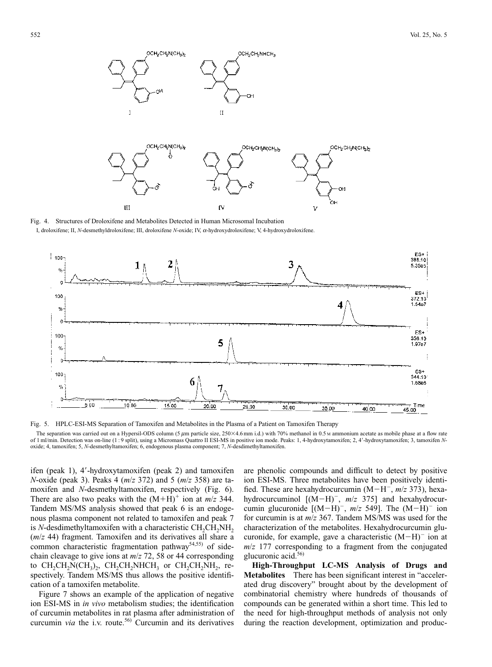

Fig. 4. Structures of Droloxifene and Metabolites Detected in Human Microsomal Incubation I, droloxifene; II, *N*-desmethyldroloxifene; III, droloxifene *N*-oxide; IV, a-hydroxydroloxifene; V, 4-hydroxydroloxifene.



Fig. 5. HPLC-ESI-MS Separation of Tamoxifen and Metabolites in the Plasma of a Patient on Tamoxifen Therapy

The separation was carried out on a Hypersil-ODS column (5  $\mu$ m particle size, 250×4.6 mm i.d.) with 70% methanol in 0.5 M ammonium acetate as mobile phase at a flow rate of 1 ml/min. Detection was on-line (1 : 9 split), using a Micromass Quattro II ESI-MS in positive ion mode. Peaks: 1, 4-hydroxytamoxifen; 2, 49-hydroxytamoxifen; 3, tamoxifen *N*oxide; 4, tamoxifen; 5, *N*-desmethyltamoxifen; 6, endogenous plasma component; 7, *N*-desdimethyltamoxifen.

ifen (peak 1),  $4'$ -hydroxytamoxifen (peak 2) and tamoxifen *N*-oxide (peak 3). Peaks 4 (*m*/*z* 372) and 5 (*m*/*z* 358) are tamoxifen and *N*-desmethyltamoxifen, respectively (Fig. 6). There are also two peaks with the  $(M+H)^+$  ion at  $m/z$  344. Tandem MS/MS analysis showed that peak 6 is an endogenous plasma component not related to tamoxifen and peak 7 is *N*-desdimethyltamoxifen with a characteristic CH<sub>2</sub>CH<sub>2</sub>NH<sub>2</sub> (*m*/*z* 44) fragment. Tamoxifen and its derivatives all share a common characteristic fragmentation pathway<sup>54,55)</sup> of sidechain cleavage to give ions at *m*/*z* 72, 58 or 44 corresponding to  $CH_2CH_2N(CH_3)_2$ ,  $CH_2CH_2NHCH_3$  or  $CH_2CH_2NH_2$ , respectively. Tandem MS/MS thus allows the positive identification of a tamoxifen metabolite.

Figure 7 shows an example of the application of negative ion ESI-MS in *in vivo* metabolism studies; the identification of curcumin metabolites in rat plasma after administration of curcumin *via* the i.v. route.<sup>56)</sup> Curcumin and its derivatives

are phenolic compounds and difficult to detect by positive ion ESI-MS. Three metabolites have been positively identified. These are hexahydrocurcumin (M-H<sup>-</sup>, *m*/*z* 373), hexahydrocurcuminol  $[(M-H)^{-}, m/z]$  375] and hexahydrocurcumin glucuronide  $[(M-H)^{-}, m/z 549]$ . The  $(M-H)^{-}$  ion for curcumin is at *m*/*z* 367. Tandem MS/MS was used for the characterization of the metabolites. Hexahydrocurcumin glucuronide, for example, gave a characteristic  $(M-H)^{-}$  ion at *m*/*z* 177 corresponding to a fragment from the conjugated glucuronic acid.56)

**High-Throughput LC-MS Analysis of Drugs and Metabolites** There has been significant interest in "accelerated drug discovery" brought about by the development of combinatorial chemistry where hundreds of thousands of compounds can be generated within a short time. This led to the need for high-throughput methods of analysis not only during the reaction development, optimization and produc-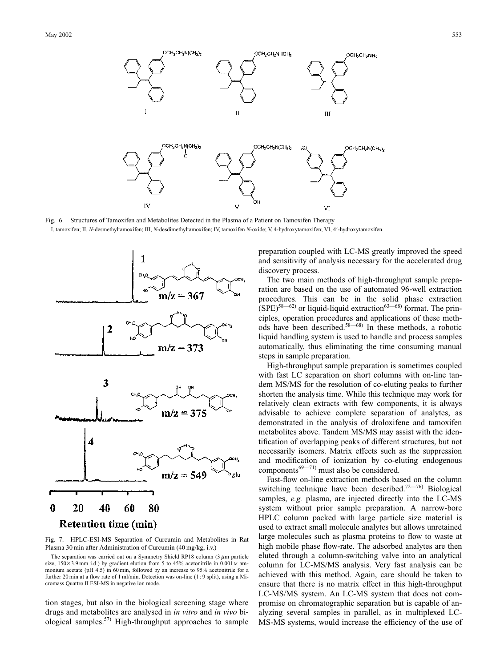

Fig. 6. Structures of Tamoxifen and Metabolites Detected in the Plasma of a Patient on Tamoxifen Therapy I, tamoxifen; II, *N*-desmethyltamoxifen; III, *N*-desdimethyltamoxifen; IV, tamoxifen *N*-oxide; V, 4-hydroxytamoxifen; VI, 49-hydroxytamoxifen.



Fig. 7. HPLC-ESI-MS Separation of Curcumin and Metabolites in Rat Plasma 30 min after Administration of Curcumin (40 mg/kg, i.v.)

The separation was carried out on a Symmetry Shield RP18 column  $(3 \mu m)$  particle size,  $150\times3.9$  mm i.d.) by gradient elution from 5 to 45% acetonitrile in 0.001 M ammonium acetate (pH 4.5) in 60 min, followed by an increase to 95% acetonitrile for a further 20 min at a flow rate of 1 ml/min. Detection was on-line (1 : 9 split), using a Micromass Quattro II ESI-MS in negative ion mode.

tion stages, but also in the biological screening stage where drugs and metabolites are analysed in *in vitro* and *in vivo* biological samples.<sup>57)</sup> High-throughput approaches to sample preparation coupled with LC-MS greatly improved the speed and sensitivity of analysis necessary for the accelerated drug discovery process.

The two main methods of high-throughput sample preparation are based on the use of automated 96-well extraction procedures. This can be in the solid phase extraction  $(SPE)^{58-62}$  or liquid-liquid extraction<sup>63—68)</sup> format. The principles, operation procedures and applications of these methods have been described.<sup>58—68)</sup> In these methods, a robotic liquid handling system is used to handle and process samples automatically, thus eliminating the time consuming manual steps in sample preparation.

High-throughput sample preparation is sometimes coupled with fast LC separation on short columns with on-line tandem MS/MS for the resolution of co-eluting peaks to further shorten the analysis time. While this technique may work for relatively clean extracts with few components, it is always advisable to achieve complete separation of analytes, as demonstrated in the analysis of droloxifene and tamoxifen metabolites above. Tandem MS/MS may assist with the identification of overlapping peaks of different structures, but not necessarily isomers. Matrix effects such as the suppression and modification of ionization by co-eluting endogenous components $69-71$  must also be considered.

Fast-flow on-line extraction methods based on the column switching technique have been described.<sup>72-76)</sup> Biological samples, *e.g.* plasma, are injected directly into the LC-MS system without prior sample preparation. A narrow-bore HPLC column packed with large particle size material is used to extract small molecule analytes but allows unretained large molecules such as plasma proteins to flow to waste at high mobile phase flow-rate. The adsorbed analytes are then eluted through a column-switching valve into an analytical column for LC-MS/MS analysis. Very fast analysis can be achieved with this method. Again, care should be taken to ensure that there is no matrix effect in this high-throughput LC-MS/MS system. An LC-MS system that does not compromise on chromatographic separation but is capable of analyzing several samples in parallel, as in multiplexed LC-MS-MS systems, would increase the efficiency of the use of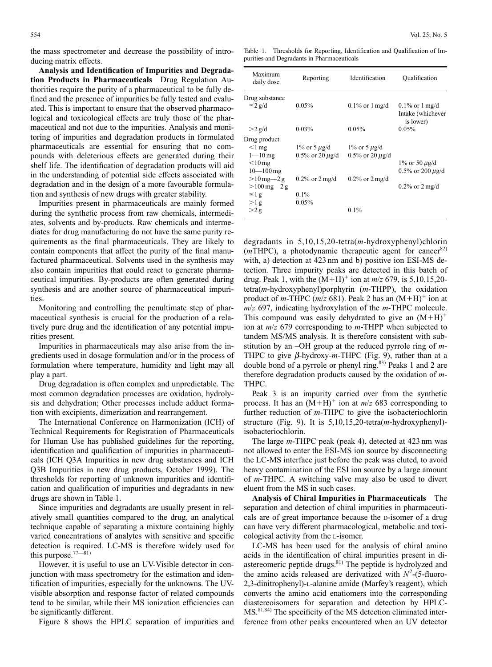the mass spectrometer and decrease the possibility of introducing matrix effects.

**Analysis and Identification of Impurities and Degradation Products in Pharmaceuticals** Drug Regulation Authorities require the purity of a pharmaceutical to be fully defined and the presence of impurities be fully tested and evaluated. This is important to ensure that the observed pharmacological and toxicological effects are truly those of the pharmaceutical and not due to the impurities. Analysis and monitoring of impurities and degradation products in formulated pharmaceuticals are essential for ensuring that no compounds with deleterious effects are generated during their shelf life. The identification of degradation products will aid in the understanding of potential side effects associated with degradation and in the design of a more favourable formulation and synthesis of new drugs with greater stability.

Impurities present in pharmaceuticals are mainly formed during the synthetic process from raw chemicals, intermediates, solvents and by-products. Raw chemicals and intermediates for drug manufacturing do not have the same purity requirements as the final pharmaceuticals. They are likely to contain components that affect the purity of the final manufactured pharmaceutical. Solvents used in the synthesis may also contain impurities that could react to generate pharmaceutical impurities. By-products are often generated during synthesis and are another source of pharmaceutical impurities.

Monitoring and controlling the penultimate step of pharmaceutical synthesis is crucial for the production of a relatively pure drug and the identification of any potential impurities present.

Impurities in pharmaceuticals may also arise from the ingredients used in dosage formulation and/or in the process of formulation where temperature, humidity and light may all play a part.

Drug degradation is often complex and unpredictable. The most common degradation processes are oxidation, hydrolysis and dehydration; Other processes include adduct formation with excipients, dimerization and rearrangement.

The International Conference on Harmonization (ICH) of Technical Requirements for Registration of Pharmaceuticals for Human Use has published guidelines for the reporting, identification and qualification of impurities in pharmaceuticals (ICH Q3A Impurities in new drug substances and ICH Q3B Impurities in new drug products, October 1999). The thresholds for reporting of unknown impurities and identification and qualification of impurities and degradants in new drugs are shown in Table 1.

Since impurities and degradants are usually present in relatively small quantities compared to the drug, an analytical technique capable of separating a mixture containing highly varied concentrations of analytes with sensitive and specific detection is required. LC-MS is therefore widely used for this purpose.77—81)

However, it is useful to use an UV-Visible detector in conjunction with mass spectrometry for the estimation and identification of impurities, especially for the unknowns. The UVvisible absorption and response factor of related compounds tend to be similar, while their MS ionization efficiencies can be significantly different.

Figure 8 shows the HPLC separation of impurities and

Table 1. Thresholds for Reporting, Identification and Qualification of Impurities and Degradants in Pharmaceuticals

| Maximum<br>daily dose                 | Reporting                   | Identification              | Oualification                                                 |
|---------------------------------------|-----------------------------|-----------------------------|---------------------------------------------------------------|
| Drug substance                        |                             |                             |                                                               |
| $\leq$ 2 g/d                          | $0.05\%$                    | $0.1\%$ or $1 \text{ mg/d}$ | $0.1\%$ or $1 \text{ mg/d}$<br>Intake (whichever<br>is lower) |
| $>2$ g/d                              | 0.03%                       | 0.05%                       | 0.05%                                                         |
| Drug product                          |                             |                             |                                                               |
| $<$ 1 mg                              | 1\% or 5 $\mu$ g/d          | $1\%$ or 5 $\mu$ g/d        |                                                               |
| $1 - 10$ mg                           | 0.5% or 20 $\mu$ g/d        | 0.5% or 20 $\mu$ g/d        |                                                               |
| $<$ 10 mg                             |                             |                             | 1\% or 50 $\mu$ g/d                                           |
| $10 - 100$ mg                         |                             |                             | 0.5% or 200 $\mu$ g/d                                         |
| $>10$ mg $-2$ g                       | $0.2\%$ or $2 \text{ mg/d}$ | $0.2\%$ or $2 \text{ mg/d}$ |                                                               |
| $>100 \,\mathrm{mg} - 2 \,\mathrm{g}$ |                             |                             | $0.2\%$ or $2 \text{ mg/d}$                                   |
| $\leq$ 1 g                            | $0.1\%$                     |                             |                                                               |
| >1 g                                  | 0.05%                       |                             |                                                               |
| >2 g                                  |                             | $0.1\%$                     |                                                               |

degradants in 5,10,15,20-tetra(*m*-hydroxyphenyl)chlorin  $(mTHPC)$ , a photodynamic therapeutic agent for cancer<sup>82)</sup> with, a) detection at 423 nm and b) positive ion ESI-MS detection. Three impurity peaks are detected in this batch of drug. Peak 1, with the  $(M+H)^+$  ion at  $m/z$  679, is 5,10,15,20tetra(*m*-hydroxyphenyl)porphyrin (*m*-THPP), the oxidation product of  $m$ -THPC ( $m/z$  681). Peak 2 has an  $(M+H)^+$  ion at *m*/*z* 697, indicating hydroxylation of the *m*-THPC molecule. This compound was easily dehydrated to give an  $(M+H)^+$ ion at *m*/*z* 679 corresponding to *m*-THPP when subjected to tandem MS/MS analysis. It is therefore consistent with substitution by an –OH group at the reduced pyrrole ring of *m*-THPC to give  $\beta$ -hydroxy-*m*-THPC (Fig. 9), rather than at a double bond of a pyrrole or phenyl ring.<sup>83)</sup> Peaks 1 and 2 are therefore degradation products caused by the oxidation of *m*-THPC.

Peak 3 is an impurity carried over from the synthetic process. It has an  $(M+H)^+$  ion at  $m/z$  683 corresponding to further reduction of *m*-THPC to give the isobacteriochlorin structure (Fig. 9). It is 5,10,15,20-tetra(*m*-hydroxyphenyl) isobacteriochlorin.

The large *m*-THPC peak (peak 4), detected at 423 nm was not allowed to enter the ESI-MS ion source by disconnecting the LC-MS interface just before the peak was eluted, to avoid heavy contamination of the ESI ion source by a large amount of *m*-THPC. A switching valve may also be used to divert eluent from the MS in such cases.

**Analysis of Chiral Impurities in Pharmaceuticals** The separation and detection of chiral impurities in pharmaceuticals are of great importance because the D-isomer of a drug can have very different pharmacological, metabolic and toxicological activity from the L-isomer.

LC-MS has been used for the analysis of chiral amino acids in the identification of chiral impurities present in diastereomeric peptide drugs.<sup>81)</sup> The peptide is hydrolyzed and the amino acids released are derivatized with  $N^2$ -(5-fluoro-2,3-dinitrophenyl)-L-alanine amide (Marfey's reagent), which converts the amino acid enatiomers into the corresponding diastereoisomers for separation and detection by HPLC-MS.<sup>81,84)</sup> The specificity of the MS detection eliminated interference from other peaks encountered when an UV detector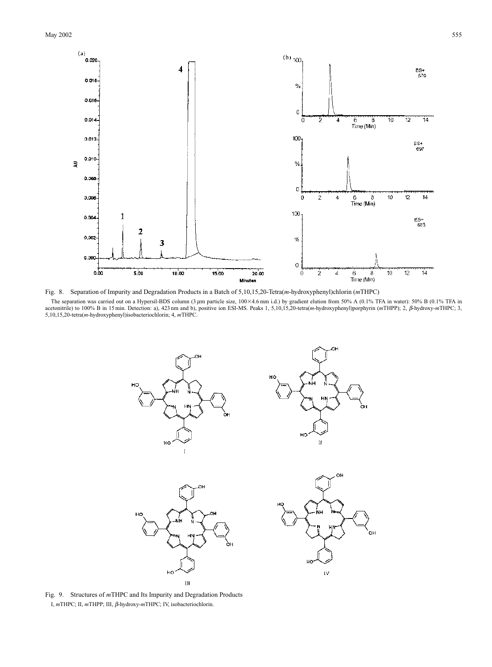





Fig. 9. Structures of *m*THPC and Its Impurity and Degradation Products I, *m*THPC; II, *mTHPP*; III, β-hydroxy-*mTHPC*; IV, isobacteriochlorin.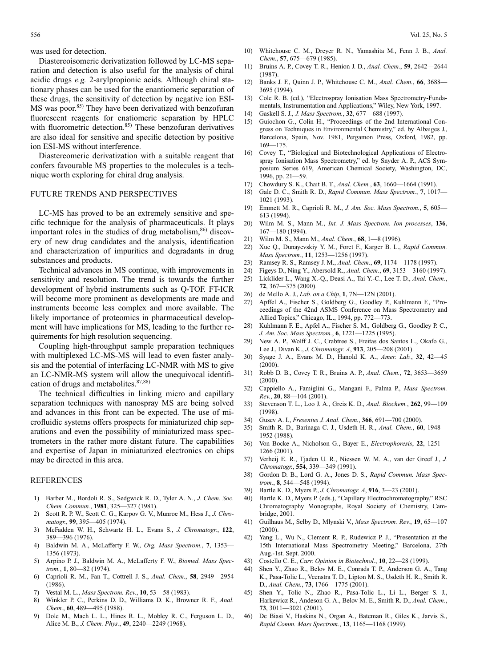Diastereoisomeric derivatization followed by LC-MS separation and detection is also useful for the analysis of chiral acidic drugs *e.g.* 2-arylpropionic acids. Although chiral stationary phases can be used for the enantiomeric separation of these drugs, the sensitivity of detection by negative ion ESI-MS was poor.<sup>85)</sup> They have been derivatized with benzofuran fluorescent reagents for enatiomeric separation by HPLC with fluorometric detection.<sup>85)</sup> These benzofuran derivatives are also ideal for sensitive and specific detection by positive ion ESI-MS without interference.

Diastereomeric derivatization with a suitable reagent that confers favourable MS properties to the molecules is a technique worth exploring for chiral drug analysis.

## FUTURE TRENDS AND PERSPECTIVES

LC-MS has proved to be an extremely sensitive and specific technique for the analysis of pharmaceuticals. It plays important roles in the studies of drug metabolism, $86$ ) discovery of new drug candidates and the analysis, identification and characterization of impurities and degradants in drug substances and products.

Technical advances in MS continue, with improvements in sensitivity and resolution. The trend is towards the further development of hybrid instruments such as Q-TOF. FT-ICR will become more prominent as developments are made and instruments become less complex and more available. The likely importance of proteomics in pharmaceutical development will have implications for MS, leading to the further requirements for high resolution sequencing.

Coupling high-throughput sample preparation techniques with multiplexed LC-MS-MS will lead to even faster analysis and the potential of interfacing LC-NMR with MS to give an LC-NMR-MS system will allow the unequivocal identification of drugs and metabolites.87,88)

The technical difficulties in linking micro and capillary separation techniques with nanospray MS are being solved and advances in this front can be expected. The use of microfluidic systems offers prospects for miniaturized chip separations and even the possibility of miniaturized mass spectrometers in the rather more distant future. The capabilities and expertise of Japan in miniaturized electronics on chips may be directed in this area.

#### REFERENCES

- 1) Barber M., Bordoli R. S., Sedgwick R. D., Tyler A. N., *J. Chem. Soc. Chem. Commun.*, **1981**, 325—327 (1981).
- 2) Scott R. P. W., Scott C. G., Karpov G. V., Munroe M., Hess J., *J. Chromatogr.*, **99**, 395—405 (1974).
- 3) McFadden W. H., Schwartz H. L., Evans S., *J. Chromatogr.*, **122**, 389—396 (1976).
- 4) Baldwin M. A., McLafferty F. W., *Org. Mass Spectrom.*, **7**, 1353— 1356 (1973).
- 5) Arpino P. J., Baldwin M. A., McLafferty F. W., *Biomed. Mass Spectrom.*, **1**, 80—82 (1974).
- 6) Caprioli R. M., Fan T., Cottrell J. S., *Anal. Chem.*, **58**, 2949—2954 (1986).
- 7) Vestal M. L., *Mass Spectrom. Rev.*, **10**, 53—58 (1983).
- 8) Winkler P. C., Perkins D. D., Williams D. K., Browner R. F., *Anal. Chem.*, **60**, 489—495 (1988).
- 9) Dole M., Mach L. L., Hines R. L., Mobley R. C., Ferguson L. D., Alice M. B., *J. Chem. Phys.*, **49**, 2240—2249 (1968).
- 10) Whitehouse C. M., Dreyer R. N., Yamashita M., Fenn J. B., *Anal. Chem.*, **57**, 675—679 (1985).
- 11) Bruins A. P., Covey T. R., Henion J. D., *Anal. Chem.*, **59**, 2642—2644 (1987).
- 12) Banks J. F., Quinn J. P., Whitehouse C. M., *Anal. Chem.*, **66**, 3688— 3695 (1994).
- 13) Cole R. B. (ed.), "Electrospray Ionisation Mass Spectrometry-Fundamentals, Instrumentation and Applications," Wiley, New York, 1997.
- 14) Gaskell S. J., *J. Mass Spectrom.*, **32**, 677—688 (1997).
- 15) Guiochon G., Colin H., "Proceedings of the 2nd International Congress on Techniques in Environmental Chemistry," ed. by Albaiges J., Barcelona, Spain, Nov. 1981, Pergamon Press, Oxford, 1982, pp. 169—175.
- 16) Covey T., "Biological and Biotechnological Applications of Electrospray Ionisation Mass Spectrometry," ed. by Snyder A. P., ACS Symposium Series 619, American Chemical Society, Washington, DC, 1996, pp. 21—59.
- 17) Chowdury S. K., Chait B. T., *Anal. Chem.*, **63**, 1660—1664 (1991).
- 18) Gale D. C., Smith R. D., *Rapid Commun. Mass Spectrom.*, **7**, 1017— 1021 (1993).
- 19) Emmett M. R., Caprioli R. M., *J. Am. Soc. Mass Spectrom.*, **5**, 605— 613 (1994).
- 20) Wilm M. S., Mann M., *Int. J. Mass Spectrom. Ion processes*, **136**, 167—180 (1994).
- 21) Wilm M. S., Mann M., *Anal. Chem.*, **68**, 1—8 (1996).
- 22) Xue Q., Dunayevskiy Y. M., Foret F., Karger B. L., *Rapid Commun. Mass Spectrom.*, **11**, 1253—1256 (1997).
- 23) Ramsey R. S., Ramsey J. M., *Anal. Chem.*, **69**, 1174—1178 (1997).
- 24) Figeys D., Ning Y., Abersold R., *Anal. Chem.*, **69**, 3153—3160 (1997).
- 25) Licklider L., Wang X.-Q., Deasi A., Tai Y.-C., Lee T. D., *Anal. Chem.*, **72**, 367—375 (2000).
- 26) de Mello A. J., *Lab. on a Chip*, **1**, 7N—12N (2001).
- 27) Apffel A., Fischer S., Goldberg G., Goodley P., Kuhlmann F., "Proceedings of the 42nd ASMS Conference on Mass Spectrometry and Allied Topics," Chicago, IL., 1994, pp. 772—773.
- 28) Kuhlmann F. E., Apfel A., Fischer S. M., Goldberg G., Goodley P. C., *J. Am. Soc. Mass Spectrom.*, **6**, 1221—1225 (1995).
- New A. P., Wolff J. C., Crabtree S., Freitas dos Santos L., Okafo G., Lee J., Divan K., *J. Chromatogr. A*, **913**, 205—208 (2001).
- 30) Syage J. A., Evans M. D., Hanold K. A., *Amer. Lab.*, **32**, 42—45 (2000).
- 31) Robb D. B., Covey T. R., Bruins A. P., *Anal. Chem.*, **72**, 3653—3659 (2000).
- 32) Cappiello A., Famiglini G., Mangani F., Palma P., *Mass Spectrom. Rev.*, **20**, 88—104 (2001).
- 33) Stevenson T. L., Loo J. A., Greis K. D., *Anal. Biochem.*, **262**, 99—109 (1998).
- 34) Gusev A. I., *Fresenius J. Anal. Chem.*, **366**, 691—700 (2000).
- 35) Smith R. D., Barinaga C. J., Usdeth H. R., *Anal. Chem.*, **60**, 1948— 1952 (1988).
- 36) Von Bocke A., Nicholson G., Bayer E., *Electrophoresis*, **22**, 1251— 1266 (2001).
- 37) Verheij E. R., Tjaden U. R., Niessen W. M. A., van der Greef J., *J. Chromatogr.*, **554**, 339—349 (1991).
- 38) Gordon D. B., Lord G. A., Jones D. S., *Rapid Commun. Mass Spectrom.*, **8**, 544—548 (1994).
- 39) Bartle K. D., Myers P., *J. Chromatogr. A*, **916**, 3—23 (2001).
- 40) Bartle K. D., Myers P. (eds.), "Capillary Electrochromatography," RSC Chromatography Monographs, Royal Society of Chemistry, Cambridge, 2001.
- 41) Guilhaus M., Selby D., Mlynski V., *Mass Spectrom. Rev.*, **19**, 65—107 (2000).
- 42) Yang L., Wu N., Clement R. P., Rudewicz P. J., "Presentation at the 15th International Mass Spectrometry Meeting," Barcelona, 27th Aug.-1st. Sept. 2000.
- 43) Costello C. E., *Curr. Opinion in Biotechnol.*, **10**, 22—28 (1999).
- 44) Shen Y., Zhao R., Belov M. E., Conrads T. P., Anderson G. A., Tang K., Pasa-Tolic L., Veenstra T. D., Lipton M. S., Usdeth H. R., Smith R. D., *Anal. Chem.*, **73**, 1766—1775 (2001).
- 45) Shen Y., Tolic N., Zhao R., Pasa-Tolic L., Li L., Berger S. J., Harkewicz R., Andeson G. A., Belov M. E., Smith R. D., *Anal. Chem.*, **73**, 3011—3021 (2001).
- 46) De Biasi V., Haskins N., Organ A., Bateman R., Giles K., Jarvis S., *Rapid Comm. Mass Spectrom.*, **13**, 1165—1168 (1999).